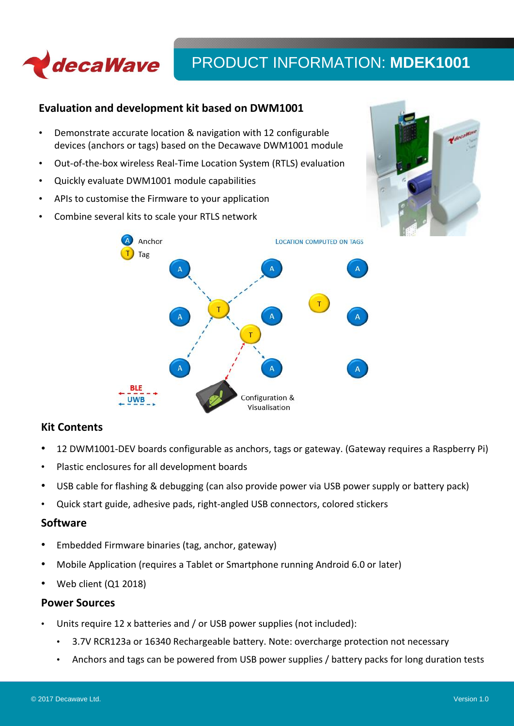

# **Evaluation and development kit based on DWM1001**

- Demonstrate accurate location & navigation with 12 configurable devices (anchors or tags) based on the Decawave DWM1001 module
- Out-of-the-box wireless Real-Time Location System (RTLS) evaluation
- Quickly evaluate DWM1001 module capabilities
- APIs to customise the Firmware to your application
- Combine several kits to scale your RTLS network





# **Kit Contents**

- 12 DWM1001-DEV boards configurable as anchors, tags or gateway. (Gateway requires a Raspberry Pi)
- Plastic enclosures for all development boards
- USB cable for flashing & debugging (can also provide power via USB power supply or battery pack)
- Quick start guide, adhesive pads, right-angled USB connectors, colored stickers

# **Software**

- Embedded Firmware binaries (tag, anchor, gateway)
- Mobile Application (requires a Tablet or Smartphone running Android 6.0 or later)
- Web client (Q1 2018)

# **Power Sources**

- Units require 12 x batteries and / or USB power supplies (not included):
	- 3.7V RCR123a or 16340 Rechargeable battery. Note: overcharge protection not necessary
	- Anchors and tags can be powered from USB power supplies / battery packs for long duration tests